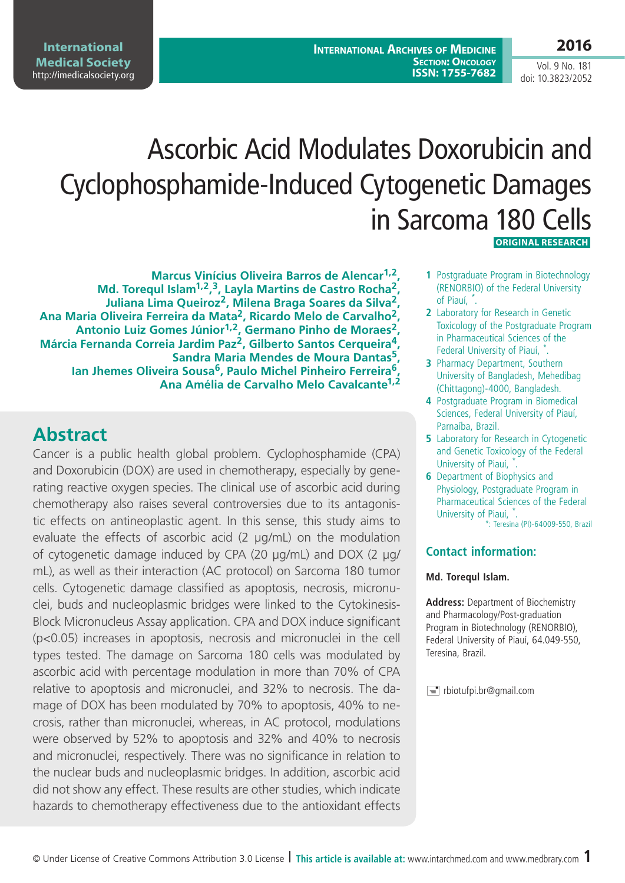**International Archives of Medicine SECTION: ONCOLOGY ISSN: 1755-7682**

## **2016**

Vol. 9 No. 181 doi: 10.3823/2052

# Ascorbic Acid Modulates Doxorubicin and Cyclophosphamide-Induced Cytogenetic Damages in Sarcoma 180 Cells

 **ORIGINAL RESEARCH**

**Marcus Vinícius Oliveira Barros de Alencar1,2, Md. Torequl Islam1,2, 3, Layla Martins de Castro Rocha2, Juliana Lima Queiroz2, Milena Braga Soares da Silva2, Ana Maria Oliveira Ferreira da Mata2, Ricardo Melo de Carvalho2, Antonio Luiz Gomes Júnior1,2, Germano Pinho de Moraes2, Márcia Fernanda Correia Jardim Paz2, Gilberto Santos Cerqueira4, Sandra Maria Mendes de Moura Dantas5, Ian Jhemes Oliveira Sousa6, Paulo Michel Pinheiro Ferreira6, Ana Amélia de Carvalho Melo Cavalcante1,2**

# **Abstract**

Cancer is a public health global problem. Cyclophosphamide (CPA) and Doxorubicin (DOX) are used in chemotherapy, especially by generating reactive oxygen species. The clinical use of ascorbic acid during chemotherapy also raises several controversies due to its antagonistic effects on antineoplastic agent. In this sense, this study aims to evaluate the effects of ascorbic acid (2 µg/mL) on the modulation of cytogenetic damage induced by CPA (20 µg/mL) and DOX (2 µg/ mL), as well as their interaction (AC protocol) on Sarcoma 180 tumor cells. Cytogenetic damage classified as apoptosis, necrosis, micronuclei, buds and nucleoplasmic bridges were linked to the Cytokinesis-Block Micronucleus Assay application. CPA and DOX induce significant (p<0.05) increases in apoptosis, necrosis and micronuclei in the cell types tested. The damage on Sarcoma 180 cells was modulated by ascorbic acid with percentage modulation in more than 70% of CPA relative to apoptosis and micronuclei, and 32% to necrosis. The damage of DOX has been modulated by 70% to apoptosis, 40% to necrosis, rather than micronuclei, whereas, in AC protocol, modulations were observed by 52% to apoptosis and 32% and 40% to necrosis and micronuclei, respectively. There was no significance in relation to the nuclear buds and nucleoplasmic bridges. In addition, ascorbic acid did not show any effect. These results are other studies, which indicate hazards to chemotherapy effectiveness due to the antioxidant effects

- **1** Postgraduate Program in Biotechnology (RENORBIO) of the Federal University of Piauí, \* .
- **2** Laboratory for Research in Genetic Toxicology of the Postgraduate Program in Pharmaceutical Sciences of the Federal University of Piauí, \*.
- **3** Pharmacy Department, Southern University of Bangladesh, Mehedibag (Chittagong)-4000, Bangladesh.
- **4** Postgraduate Program in Biomedical Sciences, Federal University of Piauí, Parnaíba, Brazil.
- **5** Laboratory for Research in Cytogenetic and Genetic Toxicology of the Federal University of Piauí, \*.
- **6** Department of Biophysics and Physiology, Postgraduate Program in Pharmaceutical Sciences of the Federal University of Piauí, \*. \*: Teresina (PI)-64009-550, Brazil

#### **Contact information:**

#### **Md. Torequl Islam.**

**Address:** Department of Biochemistry and Pharmacology/Post-graduation Program in Biotechnology (RENORBIO), Federal University of Piauí, 64.049-550, Teresina, Brazil.

 $\equiv$  rbiotufpi.br@gmail.com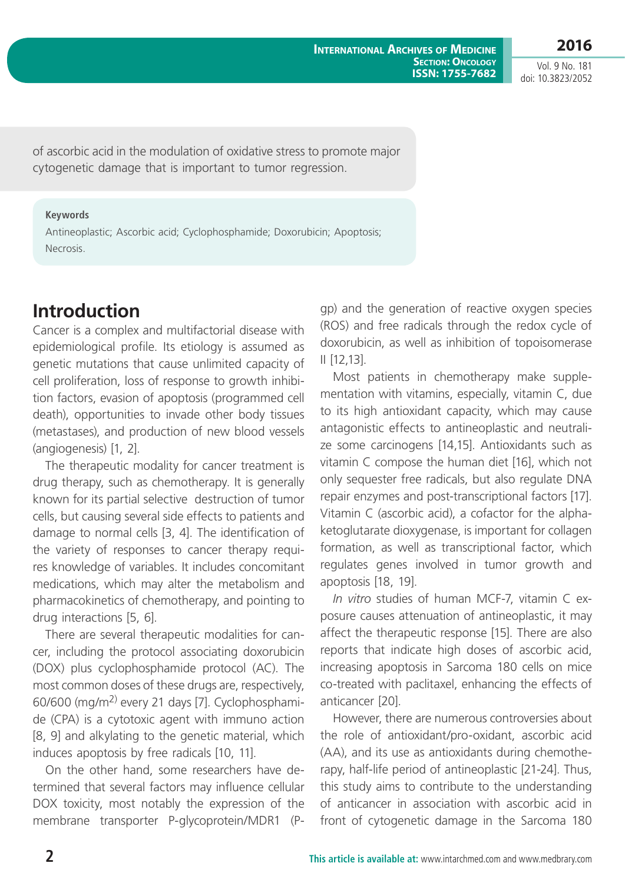**2016**

Vol. 9 No. 181 doi: 10.3823/2052

of ascorbic acid in the modulation of oxidative stress to promote major cytogenetic damage that is important to tumor regression.

#### **Keywords**

Antineoplastic; Ascorbic acid; Cyclophosphamide; Doxorubicin; Apoptosis; Necrosis.

## **Introduction**

Cancer is a complex and multifactorial disease with epidemiological profile. Its etiology is assumed as genetic mutations that cause unlimited capacity of cell proliferation, loss of response to growth inhibition factors, evasion of apoptosis (programmed cell death), opportunities to invade other body tissues (metastases), and production of new blood vessels (angiogenesis) [1, 2].

The therapeutic modality for cancer treatment is drug therapy, such as chemotherapy. It is generally known for its partial selective destruction of tumor cells, but causing several side effects to patients and damage to normal cells [3, 4]. The identification of the variety of responses to cancer therapy requires knowledge of variables. It includes concomitant medications, which may alter the metabolism and pharmacokinetics of chemotherapy, and pointing to drug interactions [5, 6].

There are several therapeutic modalities for cancer, including the protocol associating doxorubicin (DOX) plus cyclophosphamide protocol (AC). The most common doses of these drugs are, respectively, 60/600 (mg/m2) every 21 days [7]. Cyclophosphamide (CPA) is a cytotoxic agent with immuno action [8, 9] and alkylating to the genetic material, which induces apoptosis by free radicals [10, 11].

On the other hand, some researchers have determined that several factors may influence cellular DOX toxicity, most notably the expression of the membrane transporter P-glycoprotein/MDR1 (P- gp) and the generation of reactive oxygen species (ROS) and free radicals through the redox cycle of doxorubicin, as well as inhibition of topoisomerase II [12,13].

Most patients in chemotherapy make supplementation with vitamins, especially, vitamin C, due to its high antioxidant capacity, which may cause antagonistic effects to antineoplastic and neutralize some carcinogens [14,15]. Antioxidants such as vitamin C compose the human diet [16], which not only sequester free radicals, but also regulate DNA repair enzymes and post-transcriptional factors [17]. Vitamin C (ascorbic acid), a cofactor for the alphaketoglutarate dioxygenase, is important for collagen formation, as well as transcriptional factor, which regulates genes involved in tumor growth and apoptosis [18, 19].

*In vitro* studies of human MCF-7, vitamin C exposure causes attenuation of antineoplastic, it may affect the therapeutic response [15]. There are also reports that indicate high doses of ascorbic acid, increasing apoptosis in Sarcoma 180 cells on mice co-treated with paclitaxel, enhancing the effects of anticancer [20].

However, there are numerous controversies about the role of antioxidant/pro-oxidant, ascorbic acid (AA), and its use as antioxidants during chemotherapy, half-life period of antineoplastic [21-24]. Thus, this study aims to contribute to the understanding of anticancer in association with ascorbic acid in front of cytogenetic damage in the Sarcoma 180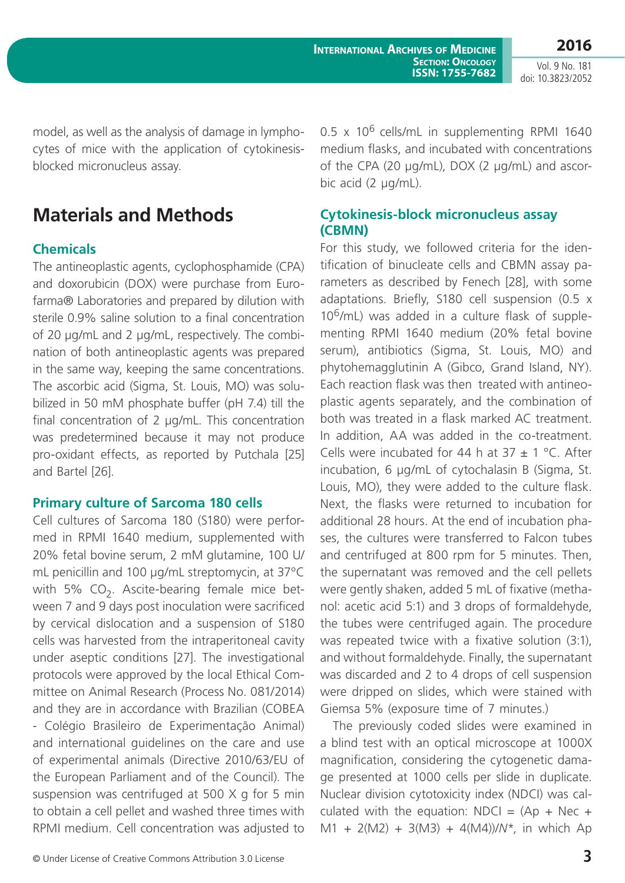model, as well as the analysis of damage in lymphocytes of mice with the application of cytokinesisblocked micronucleus assay.

# **Materials and Methods**

### **Chemicals**

The antineoplastic agents, cyclophosphamide (CPA) and doxorubicin (DOX) were purchase from Eurofarma® Laboratories and prepared by dilution with sterile 0.9% saline solution to a final concentration of 20 µg/mL and 2 µg/mL, respectively. The combination of both antineoplastic agents was prepared in the same way, keeping the same concentrations. The ascorbic acid (Sigma, St. Louis, MO) was solubilized in 50 mM phosphate buffer (pH 7.4) till the final concentration of 2 µg/mL. This concentration was predetermined because it may not produce pro-oxidant effects, as reported by Putchala [25] and Bartel [26].

#### **Primary culture of Sarcoma 180 cells**

Cell cultures of Sarcoma 180 (S180) were performed in RPMI 1640 medium, supplemented with 20% fetal bovine serum, 2 mM glutamine, 100 U/ mL penicillin and 100 µg/mL streptomycin, at 37ºC with 5%  $CO<sub>2</sub>$ . Ascite-bearing female mice between 7 and 9 days post inoculation were sacrificed by cervical dislocation and a suspension of S180 cells was harvested from the intraperitoneal cavity under aseptic conditions [27]. The investigational protocols were approved by the local Ethical Committee on Animal Research (Process No. 081/2014) and they are in accordance with Brazilian (COBEA - Colégio Brasileiro de Experimentação Animal) and international guidelines on the care and use of experimental animals (Directive 2010/63/EU of the European Parliament and of the Council). The suspension was centrifuged at 500 X g for 5 min to obtain a cell pellet and washed three times with RPMI medium. Cell concentration was adjusted to  $0.5 \times 10^6$  cells/mL in supplementing RPMI 1640 medium flasks, and incubated with concentrations of the CPA (20 µg/mL), DOX (2 µg/mL) and ascorbic acid (2 µg/mL).

#### **Cytokinesis-block micronucleus assay (CBMN)**

For this study, we followed criteria for the identification of binucleate cells and CBMN assay parameters as described by Fenech [28], with some adaptations. Briefly, S180 cell suspension (0.5 x  $10^6$ /mL) was added in a culture flask of supplementing RPMI 1640 medium (20% fetal bovine serum), antibiotics (Sigma, St. Louis, MO) and phytohemagglutinin A (Gibco, Grand Island, NY). Each reaction flask was then treated with antineoplastic agents separately, and the combination of both was treated in a flask marked AC treatment. In addition, AA was added in the co-treatment. Cells were incubated for 44 h at  $37 \pm 1$  °C. After incubation, 6 µg/mL of cytochalasin B (Sigma, St. Louis, MO), they were added to the culture flask. Next, the flasks were returned to incubation for additional 28 hours. At the end of incubation phases, the cultures were transferred to Falcon tubes and centrifuged at 800 rpm for 5 minutes. Then, the supernatant was removed and the cell pellets were gently shaken, added 5 mL of fixative (methanol: acetic acid 5:1) and 3 drops of formaldehyde, the tubes were centrifuged again. The procedure was repeated twice with a fixative solution (3:1), and without formaldehyde. Finally, the supernatant was discarded and 2 to 4 drops of cell suspension were dripped on slides, which were stained with Giemsa 5% (exposure time of 7 minutes.)

The previously coded slides were examined in a blind test with an optical microscope at 1000X magnification, considering the cytogenetic damage presented at 1000 cells per slide in duplicate. Nuclear division cytotoxicity index (NDCI) was calculated with the equation: NDCI =  $(Ap + Nec + bq)$ M1 + 2(M2) + 3(M3) + 4(M4))/*N*\*, in which Ap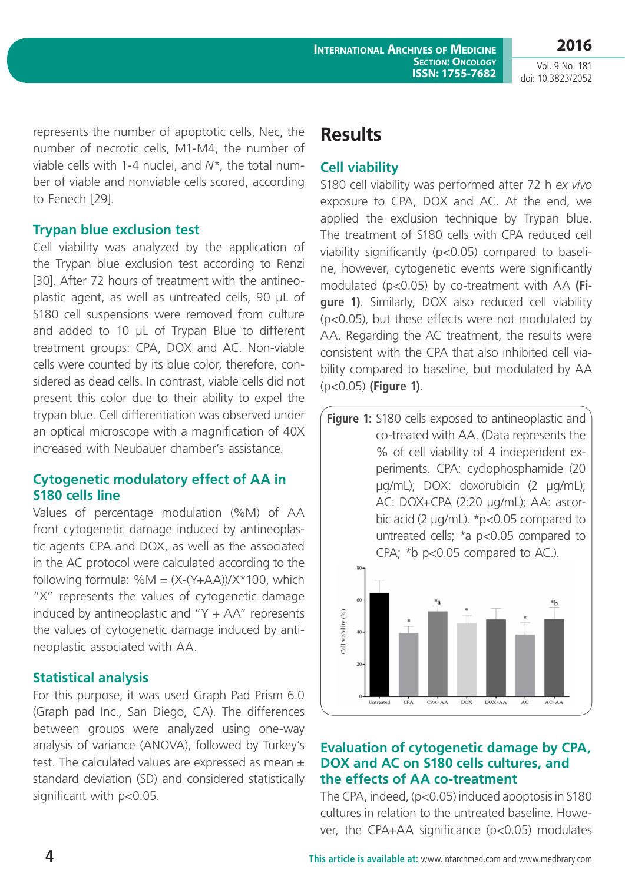**2016** Vol. 9 No. 181

doi: 10.3823/2052

represents the number of apoptotic cells, Nec, the number of necrotic cells, M1-M4, the number of viable cells with 1-4 nuclei, and *N*\*, the total number of viable and nonviable cells scored, according to Fenech [29].

#### **Trypan blue exclusion test**

Cell viability was analyzed by the application of the Trypan blue exclusion test according to Renzi [30]. After 72 hours of treatment with the antineoplastic agent, as well as untreated cells, 90 µL of S180 cell suspensions were removed from culture and added to 10 µL of Trypan Blue to different treatment groups: CPA, DOX and AC. Non-viable cells were counted by its blue color, therefore, considered as dead cells. In contrast, viable cells did not present this color due to their ability to expel the trypan blue. Cell differentiation was observed under an optical microscope with a magnification of 40X increased with Neubauer chamber's assistance.

#### **Cytogenetic modulatory effect of AA in S180 cells line**

Values of percentage modulation (%M) of AA front cytogenetic damage induced by antineoplastic agents CPA and DOX, as well as the associated in the AC protocol were calculated according to the following formula:  $%M = (X-(Y+AA))/X*100$ , which "X" represents the values of cytogenetic damage induced by antineoplastic and "Y  $+$  AA" represents the values of cytogenetic damage induced by antineoplastic associated with AA.

### **Statistical analysis**

For this purpose, it was used Graph Pad Prism 6.0 (Graph pad Inc., San Diego, CA). The differences between groups were analyzed using one-way analysis of variance (ANOVA), followed by Turkey's test. The calculated values are expressed as mean  $\pm$ standard deviation (SD) and considered statistically significant with p<0.05.

## **Results**

#### **Cell viability**

S180 cell viability was performed after 72 h *ex vivo* exposure to CPA, DOX and AC. At the end, we applied the exclusion technique by Trypan blue. The treatment of S180 cells with CPA reduced cell viability significantly (p<0.05) compared to baseline, however, cytogenetic events were significantly modulated (p<0.05) by co-treatment with AA **(Figure 1)**. Similarly, DOX also reduced cell viability (p<0.05), but these effects were not modulated by AA. Regarding the AC treatment, the results were consistent with the CPA that also inhibited cell viability compared to baseline, but modulated by AA (p<0.05) **(Figure 1)**.

**Figure 1:** S180 cells exposed to antineoplastic and co-treated with AA. (Data represents the % of cell viability of 4 independent experiments. CPA: cyclophosphamide (20 µg/mL); DOX: doxorubicin (2 µg/mL); AC: DOX+CPA (2:20 µg/mL); AA: ascorbic acid (2 µg/mL). \*p<0.05 compared to untreated cells; \*a p<0.05 compared to CPA; \*b p<0.05 compared to AC.).



#### **Evaluation of cytogenetic damage by CPA, DOX and AC on S180 cells cultures, and the effects of AA co-treatment**

The CPA, indeed, (p<0.05) induced apoptosis in S180 cultures in relation to the untreated baseline. However, the CPA+AA significance (p<0.05) modulates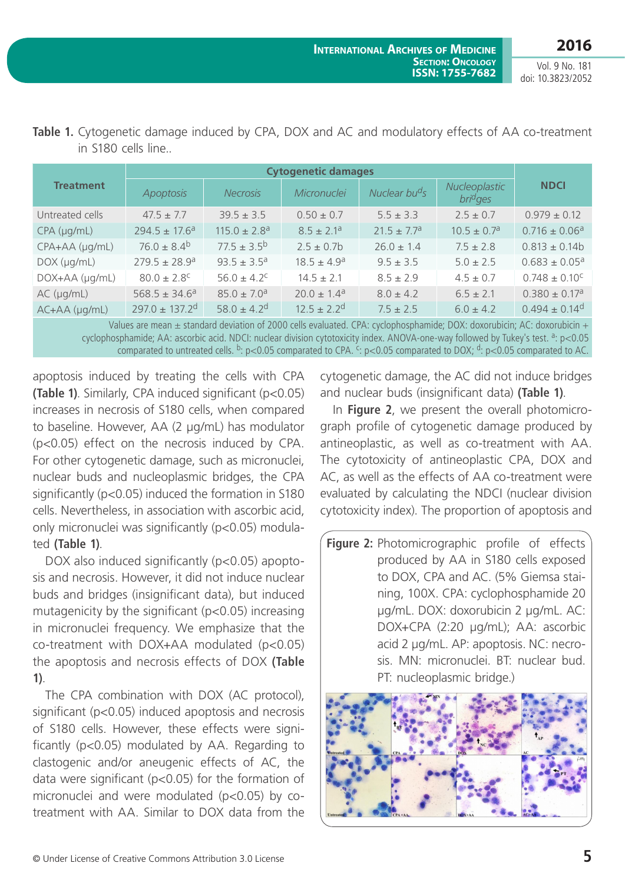|                       | <b>Cytogenetic damages</b>     |                              |                             |                             |                                            |                               |
|-----------------------|--------------------------------|------------------------------|-----------------------------|-----------------------------|--------------------------------------------|-------------------------------|
| <b>Treatment</b>      | Apoptosis                      | <b>Necrosis</b>              | Micronuclei                 | Nuclear bu <sup>d</sup> s   | Nucleoplastic<br><i>bri<sup>d</sup>ges</i> | <b>NDCI</b>                   |
| Untreated cells       | $47.5 \pm 7.7$                 | $39.5 \pm 3.5$               | $0.50 \pm 0.7$              | $5.5 \pm 3.3$               | $2.5 \pm 0.7$                              | $0.979 \pm 0.12$              |
| $CPA$ ( $\mu$ g/mL)   | $294.5 \pm 17.6^a$             | $115.0 \pm 2.8$ <sup>a</sup> | $8.5 \pm 2.1$ <sup>a</sup>  | $21.5 \pm 7.7$ <sup>a</sup> | $10.5 \pm 0.7$ <sup>a</sup>                | $0.716 \pm 0.06^a$            |
| CPA+AA (µg/mL)        | $76.0 \pm 8.4^b$               | $77.5 \pm 3.5^{\circ}$       | $2.5 \pm 0.7$ b             | $26.0 \pm 1.4$              | $7.5 \pm 2.8$                              | $0.813 \pm 0.14b$             |
| $DOX$ ( $\mu$ g/mL)   | $279.5 \pm 28.9$ <sup>a</sup>  | $93.5 \pm 3.5^a$             | $18.5 \pm 4.9^a$            | $9.5 \pm 3.5$               | $5.0 \pm 2.5$                              | $0.683 \pm 0.05$ <sup>a</sup> |
| DOX+AA (µg/mL)        | $80.0 \pm 2.8$ <sup>c</sup>    | $56.0 \pm 4.2^{\circ}$       | $14.5 \pm 2.1$              | $8.5 \pm 2.9$               | $4.5 \pm 0.7$                              | $0.748 \pm 0.10^{\circ}$      |
| $AC$ ( $\mu$ g/mL)    | $568.5 \pm 34.6^a$             | $85.0 \pm 7.0$ <sup>a</sup>  | $20.0 \pm 1.4$ <sup>a</sup> | $8.0 \pm 4.2$               | $6.5 \pm 2.1$                              | $0.380 \pm 0.17$ <sup>a</sup> |
| $AC+AA$ ( $\mu$ g/mL) | $297.0 \pm 137.2$ <sup>d</sup> | $58.0 \pm 4.2$ <sup>d</sup>  | $12.5 \pm 2.2$ <sup>d</sup> | $7.5 \pm 2.5$               | $6.0 \pm 4.2$                              | $0.494 \pm 0.14$ <sup>d</sup> |

**Table 1.** Cytogenetic damage induced by CPA, DOX and AC and modulatory effects of AA co-treatment in S180 cells line..

Values are mean  $\pm$  standard deviation of 2000 cells evaluated. CPA: cyclophosphamide; DOX: doxorubicin; AC: doxorubicin + cyclophosphamide; AA: ascorbic acid. NDCI: nuclear division cytotoxicity index. ANOVA-one-way followed by Tukey's test. <sup>a</sup>: p<0.05 comparated to untreated cells. <sup>b</sup>: p<0.05 comparated to CPA. <sup>c</sup>: p<0.05 comparated to DOX; <sup>d</sup>: p<0.05 comparated to AC.

apoptosis induced by treating the cells with CPA **(Table 1)**. Similarly, CPA induced significant (p<0.05) increases in necrosis of S180 cells, when compared to baseline. However, AA (2 µg/mL) has modulator (p<0.05) effect on the necrosis induced by CPA. For other cytogenetic damage, such as micronuclei, nuclear buds and nucleoplasmic bridges, the CPA significantly (p<0.05) induced the formation in S180 cells. Nevertheless, in association with ascorbic acid, only micronuclei was significantly (p<0.05) modulated **(Table 1)**.

DOX also induced significantly (p<0.05) apoptosis and necrosis. However, it did not induce nuclear buds and bridges (insignificant data), but induced mutagenicity by the significant (p<0.05) increasing in micronuclei frequency. We emphasize that the co-treatment with DOX+AA modulated (p<0.05) the apoptosis and necrosis effects of DOX **(Table 1)**.

The CPA combination with DOX (AC protocol), significant (p<0.05) induced apoptosis and necrosis of S180 cells. However, these effects were significantly (p<0.05) modulated by AA. Regarding to clastogenic and/or aneugenic effects of AC, the data were significant (p<0.05) for the formation of micronuclei and were modulated (p<0.05) by cotreatment with AA. Similar to DOX data from the cytogenetic damage, the AC did not induce bridges and nuclear buds (insignificant data) **(Table 1)**.

In **Figure 2**, we present the overall photomicrograph profile of cytogenetic damage produced by antineoplastic, as well as co-treatment with AA. The cytotoxicity of antineoplastic CPA, DOX and AC, as well as the effects of AA co-treatment were evaluated by calculating the NDCI (nuclear division cytotoxicity index). The proportion of apoptosis and

**Figure 2:** Photomicrographic profile of effects produced by AA in S180 cells exposed to DOX, CPA and AC. (5% Giemsa staining, 100X. CPA: cyclophosphamide 20 µg/mL. DOX: doxorubicin 2 µg/mL. AC: DOX+CPA (2:20 µg/mL); AA: ascorbic acid 2 µg/mL. AP: apoptosis. NC: necrosis. MN: micronuclei. BT: nuclear bud. PT: nucleoplasmic bridge.)

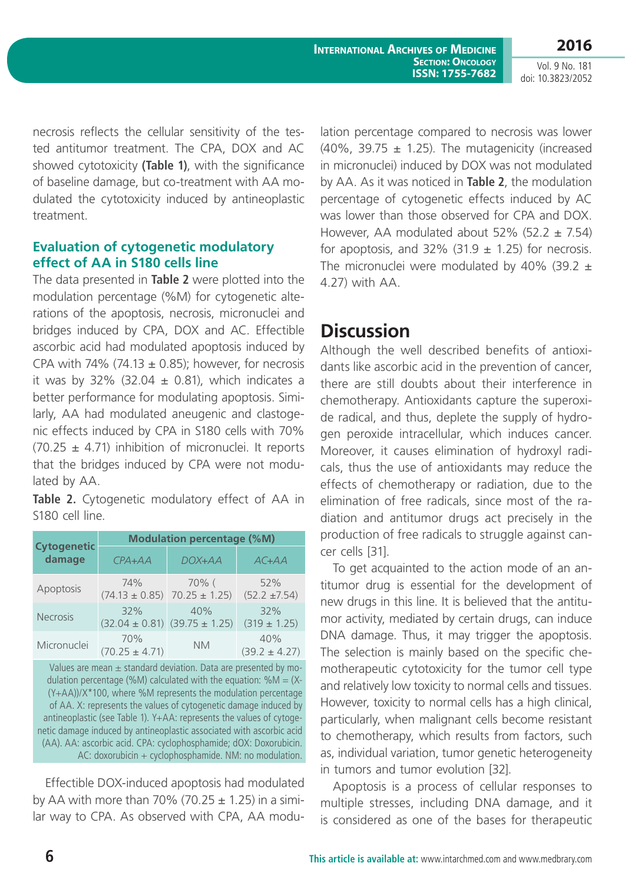necrosis reflects the cellular sensitivity of the tested antitumor treatment. The CPA, DOX and AC showed cytotoxicity **(Table 1)**, with the significance of baseline damage, but co-treatment with AA modulated the cytotoxicity induced by antineoplastic treatment.

#### **Evaluation of cytogenetic modulatory effect of AA in S180 cells line**

The data presented in **Table 2** were plotted into the modulation percentage (%M) for cytogenetic alterations of the apoptosis, necrosis, micronuclei and bridges induced by CPA, DOX and AC. Effectible ascorbic acid had modulated apoptosis induced by CPA with 74% (74.13  $\pm$  0.85); however, for necrosis it was by 32% (32.04  $\pm$  0.81), which indicates a better performance for modulating apoptosis. Similarly, AA had modulated aneugenic and clastogenic effects induced by CPA in S180 cells with 70%  $(70.25 \pm 4.71)$  inhibition of micronuclei. It reports that the bridges induced by CPA were not modulated by AA.

**Table 2.** Cytogenetic modulatory effect of AA in S180 cell line.

|                              | <b>Modulation percentage (%M)</b>            |                           |                          |  |  |  |
|------------------------------|----------------------------------------------|---------------------------|--------------------------|--|--|--|
| <b>Cytogenetic</b><br>damage | $CPA+AA$                                     | DOX+AA                    | $AC+AA$                  |  |  |  |
| Apoptosis                    | 74%<br>$(74.13 \pm 0.85)$                    | 70% (<br>$70.25 \pm 1.25$ | 52%<br>$(52.2 \pm 7.54)$ |  |  |  |
| <b>Necrosis</b>              | 32%<br>$(32.04 \pm 0.81)$ $(39.75 \pm 1.25)$ | 40%                       | 32%<br>$(319 \pm 1.25)$  |  |  |  |
| Micronuclei                  | 70%<br>$(70.25 \pm 4.71)$                    | <b>NM</b>                 | 40%<br>$(39.2 \pm 4.27)$ |  |  |  |

Values are mean  $\pm$  standard deviation. Data are presented by modulation percentage (%M) calculated with the equation: % $M = (X - )$ (Y+AA))/X\*100, where %M represents the modulation percentage of AA. X: represents the values of cytogenetic damage induced by antineoplastic (see Table 1). Y+AA: represents the values of cytogenetic damage induced by antineoplastic associated with ascorbic acid (AA). AA: ascorbic acid. CPA: cyclophosphamide; dOX: Doxorubicin. AC: doxorubicin + cyclophosphamide. NM: no modulation.

Effectible DOX-induced apoptosis had modulated by AA with more than 70% (70.25  $\pm$  1.25) in a similar way to CPA. As observed with CPA, AA modulation percentage compared to necrosis was lower (40%, 39.75  $\pm$  1.25). The mutagenicity (increased in micronuclei) induced by DOX was not modulated by AA. As it was noticed in **Table 2**, the modulation percentage of cytogenetic effects induced by AC was lower than those observed for CPA and DOX. However, AA modulated about 52% (52.2  $\pm$  7.54) for apoptosis, and 32% (31.9  $\pm$  1.25) for necrosis. The micronuclei were modulated by 40% (39.2  $\pm$ 4.27) with AA.

## **Discussion**

Although the well described benefits of antioxidants like ascorbic acid in the prevention of cancer, there are still doubts about their interference in chemotherapy. Antioxidants capture the superoxide radical, and thus, deplete the supply of hydrogen peroxide intracellular, which induces cancer. Moreover, it causes elimination of hydroxyl radicals, thus the use of antioxidants may reduce the effects of chemotherapy or radiation, due to the elimination of free radicals, since most of the radiation and antitumor drugs act precisely in the production of free radicals to struggle against cancer cells [31].

To get acquainted to the action mode of an antitumor drug is essential for the development of new drugs in this line. It is believed that the antitumor activity, mediated by certain drugs, can induce DNA damage. Thus, it may trigger the apoptosis. The selection is mainly based on the specific chemotherapeutic cytotoxicity for the tumor cell type and relatively low toxicity to normal cells and tissues. However, toxicity to normal cells has a high clinical, particularly, when malignant cells become resistant to chemotherapy, which results from factors, such as, individual variation, tumor genetic heterogeneity in tumors and tumor evolution [32].

Apoptosis is a process of cellular responses to multiple stresses, including DNA damage, and it is considered as one of the bases for therapeutic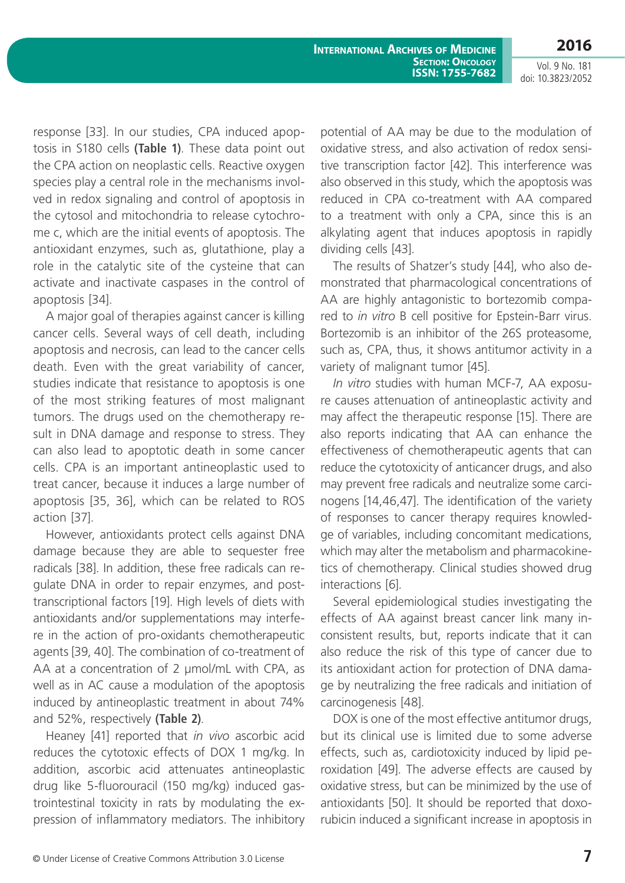**International Archives of Medicine SECTION: ONCOLOGY ISSN: 1755-7682** **2016**

Vol. 9 No. 181 doi: 10.3823/2052

response [33]. In our studies, CPA induced apoptosis in S180 cells **(Table 1)**. These data point out the CPA action on neoplastic cells. Reactive oxygen species play a central role in the mechanisms involved in redox signaling and control of apoptosis in the cytosol and mitochondria to release cytochrome c, which are the initial events of apoptosis. The antioxidant enzymes, such as, glutathione, play a role in the catalytic site of the cysteine that can activate and inactivate caspases in the control of apoptosis [34].

A major goal of therapies against cancer is killing cancer cells. Several ways of cell death, including apoptosis and necrosis, can lead to the cancer cells death. Even with the great variability of cancer, studies indicate that resistance to apoptosis is one of the most striking features of most malignant tumors. The drugs used on the chemotherapy result in DNA damage and response to stress. They can also lead to apoptotic death in some cancer cells. CPA is an important antineoplastic used to treat cancer, because it induces a large number of apoptosis [35, 36], which can be related to ROS action [37].

However, antioxidants protect cells against DNA damage because they are able to sequester free radicals [38]. In addition, these free radicals can regulate DNA in order to repair enzymes, and posttranscriptional factors [19]. High levels of diets with antioxidants and/or supplementations may interfere in the action of pro-oxidants chemotherapeutic agents [39, 40]. The combination of co-treatment of AA at a concentration of 2 µmol/mL with CPA, as well as in AC cause a modulation of the apoptosis induced by antineoplastic treatment in about 74% and 52%, respectively **(Table 2)**.

Heaney [41] reported that *in vivo* ascorbic acid reduces the cytotoxic effects of DOX 1 mg/kg. In addition, ascorbic acid attenuates antineoplastic drug like 5-fluorouracil (150 mg/kg) induced gastrointestinal toxicity in rats by modulating the expression of inflammatory mediators. The inhibitory potential of AA may be due to the modulation of oxidative stress, and also activation of redox sensitive transcription factor [42]. This interference was also observed in this study, which the apoptosis was reduced in CPA co-treatment with AA compared to a treatment with only a CPA, since this is an alkylating agent that induces apoptosis in rapidly dividing cells [43].

The results of Shatzer's study [44], who also demonstrated that pharmacological concentrations of AA are highly antagonistic to bortezomib compared to *in vitro* B cell positive for Epstein-Barr virus. Bortezomib is an inhibitor of the 26S proteasome, such as, CPA, thus, it shows antitumor activity in a variety of malignant tumor [45].

*In vitro* studies with human MCF-7, AA exposure causes attenuation of antineoplastic activity and may affect the therapeutic response [15]. There are also reports indicating that AA can enhance the effectiveness of chemotherapeutic agents that can reduce the cytotoxicity of anticancer drugs, and also may prevent free radicals and neutralize some carcinogens [14,46,47]. The identification of the variety of responses to cancer therapy requires knowledge of variables, including concomitant medications, which may alter the metabolism and pharmacokinetics of chemotherapy. Clinical studies showed drug interactions [6].

Several epidemiological studies investigating the effects of AA against breast cancer link many inconsistent results, but, reports indicate that it can also reduce the risk of this type of cancer due to its antioxidant action for protection of DNA damage by neutralizing the free radicals and initiation of carcinogenesis [48].

DOX is one of the most effective antitumor drugs, but its clinical use is limited due to some adverse effects, such as, cardiotoxicity induced by lipid peroxidation [49]. The adverse effects are caused by oxidative stress, but can be minimized by the use of antioxidants [50]. It should be reported that doxorubicin induced a significant increase in apoptosis in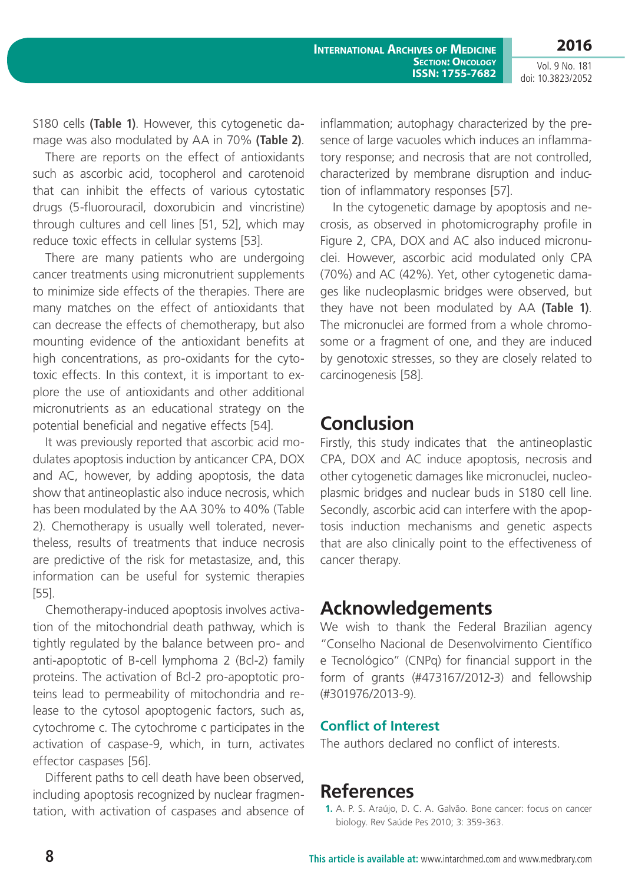**2016**

Vol. 9 No. 181 doi: 10.3823/2052

S180 cells **(Table 1)**. However, this cytogenetic damage was also modulated by AA in 70% **(Table 2)**.

There are reports on the effect of antioxidants such as ascorbic acid, tocopherol and carotenoid that can inhibit the effects of various cytostatic drugs (5-fluorouracil, doxorubicin and vincristine) through cultures and cell lines [51, 52], which may reduce toxic effects in cellular systems [53].

There are many patients who are undergoing cancer treatments using micronutrient supplements to minimize side effects of the therapies. There are many matches on the effect of antioxidants that can decrease the effects of chemotherapy, but also mounting evidence of the antioxidant benefits at high concentrations, as pro-oxidants for the cytotoxic effects. In this context, it is important to explore the use of antioxidants and other additional micronutrients as an educational strategy on the potential beneficial and negative effects [54].

It was previously reported that ascorbic acid modulates apoptosis induction by anticancer CPA, DOX and AC, however, by adding apoptosis, the data show that antineoplastic also induce necrosis, which has been modulated by the AA 30% to 40% (Table 2). Chemotherapy is usually well tolerated, nevertheless, results of treatments that induce necrosis are predictive of the risk for metastasize, and, this information can be useful for systemic therapies [55].

Chemotherapy-induced apoptosis involves activation of the mitochondrial death pathway, which is tightly regulated by the balance between pro- and anti-apoptotic of B-cell lymphoma 2 (Bcl-2) family proteins. The activation of Bcl-2 pro-apoptotic proteins lead to permeability of mitochondria and release to the cytosol apoptogenic factors, such as, cytochrome c. The cytochrome c participates in the activation of caspase-9, which, in turn, activates effector caspases [56].

Different paths to cell death have been observed, including apoptosis recognized by nuclear fragmentation, with activation of caspases and absence of inflammation; autophagy characterized by the presence of large vacuoles which induces an inflammatory response; and necrosis that are not controlled, characterized by membrane disruption and induction of inflammatory responses [57].

In the cytogenetic damage by apoptosis and necrosis, as observed in photomicrography profile in Figure 2, CPA, DOX and AC also induced micronuclei. However, ascorbic acid modulated only CPA (70%) and AC (42%). Yet, other cytogenetic damages like nucleoplasmic bridges were observed, but they have not been modulated by AA **(Table 1)**. The micronuclei are formed from a whole chromosome or a fragment of one, and they are induced by genotoxic stresses, so they are closely related to carcinogenesis [58].

## **Conclusion**

Firstly, this study indicates that the antineoplastic CPA, DOX and AC induce apoptosis, necrosis and other cytogenetic damages like micronuclei, nucleoplasmic bridges and nuclear buds in S180 cell line. Secondly, ascorbic acid can interfere with the apoptosis induction mechanisms and genetic aspects that are also clinically point to the effectiveness of cancer therapy.

# **Acknowledgements**

We wish to thank the Federal Brazilian agency "Conselho Nacional de Desenvolvimento Científico e Tecnológico" (CNPq) for financial support in the form of grants (#473167/2012-3) and fellowship (#301976/2013-9).

## **Conflict of Interest**

The authors declared no conflict of interests.

# **References**

**1.** A. P. S. Araújo, D. C. A. Galvão. Bone cancer: focus on cancer biology. Rev Saúde Pes 2010; 3: 359-363.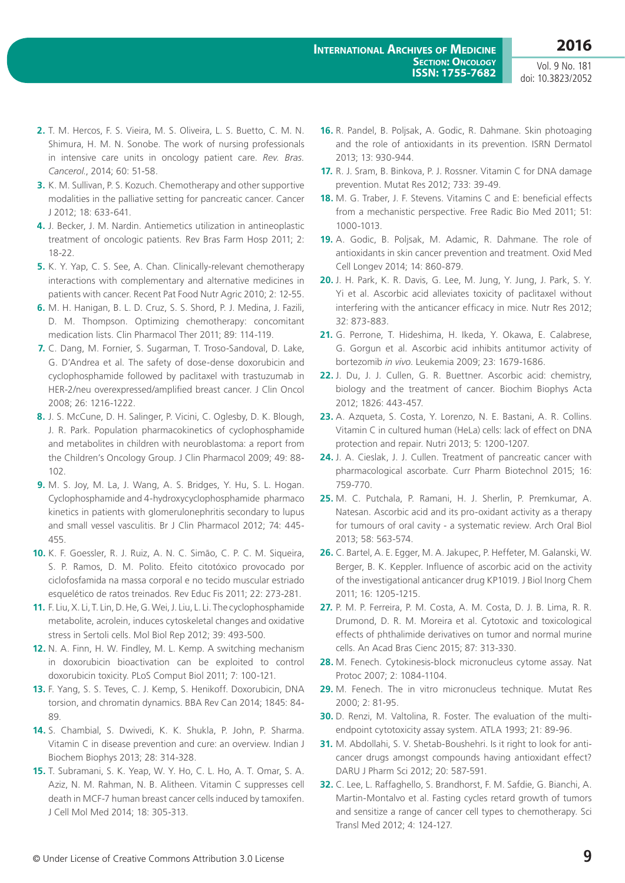- **2.** T. M. Hercos, F. S. Vieira, M. S. Oliveira, L. S. Buetto, C. M. N. Shimura, H. M. N. Sonobe. The work of nursing professionals in intensive care units in oncology patient care. *Rev. Bras. Cancerol*., 2014; 60: 51-58.
- **3.** K. M. Sullivan, P. S. Kozuch. Chemotherapy and other supportive modalities in the palliative setting for pancreatic cancer. Cancer J 2012; 18: 633-641.
- **4.** J. Becker, J. M. Nardin. Antiemetics utilization in antineoplastic treatment of oncologic patients. Rev Bras Farm Hosp 2011; 2: 18-22.
- **5.** K. Y. Yap, C. S. See, A. Chan. Clinically-relevant chemotherapy interactions with complementary and alternative medicines in patients with cancer. Recent Pat Food Nutr Agric 2010; 2: 12-55.
- **6.** M. H. Hanigan, B. L. D. Cruz, S. S. Shord, P. J. Medina, J. Fazili, D. M. Thompson. Optimizing chemotherapy: concomitant medication lists. Clin Pharmacol Ther 2011; 89: 114-119.
- **7.** C. Dang, M. Fornier, S. Sugarman, T. Troso-Sandoval, D. Lake, G. D'Andrea et al. The safety of dose-dense doxorubicin and cyclophosphamide followed by paclitaxel with trastuzumab in HER-2/neu overexpressed/amplified breast cancer. J Clin Oncol 2008; 26: 1216-1222.
- **8.** J. S. McCune, D. H. Salinger, P. Vicini, C. Oglesby, D. K. Blough, J. R. Park. Population pharmacokinetics of cyclophosphamide and metabolites in children with neuroblastoma: a report from the Children's Oncology Group. J Clin Pharmacol 2009; 49: 88- 102.
- **9.** M. S. Joy, M. La, J. Wang, A. S. Bridges, Y. Hu, S. L. Hogan. Cyclophosphamide and 4-hydroxycyclophosphamide pharmaco kinetics in patients with glomerulonephritis secondary to lupus and small vessel vasculitis. Br J Clin Pharmacol 2012; 74: 445- 455.
- **10.** K. F. Goessler, R. J. Ruiz, A. N. C. Simão, C. P. C. M. Siqueira, S. P. Ramos, D. M. Polito. Efeito citotóxico provocado por ciclofosfamida na massa corporal e no tecido muscular estriado esquelético de ratos treinados. Rev Educ Fis 2011; 22: 273-281.
- **11.** F. Liu, X. Li, T. Lin, D. He, G. Wei, J. Liu, L. Li. The cyclophosphamide metabolite, acrolein, induces cytoskeletal changes and oxidative stress in Sertoli cells. Mol Biol Rep 2012; 39: 493-500.
- **12.** N. A. Finn, H. W. Findley, M. L. Kemp. A switching mechanism in doxorubicin bioactivation can be exploited to control doxorubicin toxicity. PLoS Comput Biol 2011; 7: 100-121.
- **13.** F. Yang, S. S. Teves, C. J. Kemp, S. Henikoff. Doxorubicin, DNA torsion, and chromatin dynamics. BBA Rev Can 2014; 1845: 84- 89.
- **14.** S. Chambial, S. Dwivedi, K. K. Shukla, P. John, P. Sharma. Vitamin C in disease prevention and cure: an overview. Indian J Biochem Biophys 2013; 28: 314-328.
- **15.** T. Subramani, S. K. Yeap, W. Y. Ho, C. L. Ho, A. T. Omar, S. A. Aziz, N. M. Rahman, N. B. Alitheen. Vitamin C suppresses cell death in MCF-7 human breast cancer cells induced by tamoxifen. J Cell Mol Med 2014; 18: 305-313.
- **16.** R. Pandel, B. Poljsak, A. Godic, R. Dahmane. Skin photoaging and the role of antioxidants in its prevention. ISRN Dermatol 2013; 13: 930-944.
- **17.** R. J. Sram, B. Binkova, P. J. Rossner. Vitamin C for DNA damage prevention. Mutat Res 2012; 733: 39-49.
- **18.** M. G. Traber, J. F. Stevens. Vitamins C and E: beneficial effects from a mechanistic perspective. Free Radic Bio Med 2011; 51: 1000-1013.
- **19.** A. Godic, B. Poljsak, M. Adamic, R. Dahmane. The role of antioxidants in skin cancer prevention and treatment. Oxid Med Cell Longev 2014; 14: 860-879.
- **20.** J. H. Park, K. R. Davis, G. Lee, M. Jung, Y. Jung, J. Park, S. Y. Yi et al. Ascorbic acid alleviates toxicity of paclitaxel without interfering with the anticancer efficacy in mice. Nutr Res 2012; 32: 873-883.
- **21.** G. Perrone, T. Hideshima, H. Ikeda, Y. Okawa, E. Calabrese, G. Gorgun et al. Ascorbic acid inhibits antitumor activity of bortezomib *in vivo*. Leukemia 2009; 23: 1679-1686.
- **22.** J. Du, J. J. Cullen, G. R. Buettner. Ascorbic acid: chemistry, biology and the treatment of cancer. Biochim Biophys Acta 2012; 1826: 443-457.
- **23.** A. Azqueta, S. Costa, Y. Lorenzo, N. E. Bastani, A. R. Collins. Vitamin C in cultured human (HeLa) cells: lack of effect on DNA protection and repair. Nutri 2013; 5: 1200-1207.
- **24.** J. A. Cieslak, J. J. Cullen. Treatment of pancreatic cancer with pharmacological ascorbate. Curr Pharm Biotechnol 2015; 16: 759-770.
- **25.** M. C. Putchala, P. Ramani, H. J. Sherlin, P. Premkumar, A. Natesan. Ascorbic acid and its pro-oxidant activity as a therapy for tumours of oral cavity - a systematic review. Arch Oral Biol 2013; 58: 563-574.
- **26.** C. Bartel, A. E. Egger, M. A. Jakupec, P. Heffeter, M. Galanski, W. Berger, B. K. Keppler. Influence of ascorbic acid on the activity of the investigational anticancer drug KP1019. J Biol Inorg Chem 2011; 16: 1205-1215.
- **27.** P. M. P. Ferreira, P. M. Costa, A. M. Costa, D. J. B. Lima, R. R. Drumond, D. R. M. Moreira et al. Cytotoxic and toxicological effects of phthalimide derivatives on tumor and normal murine cells. An Acad Bras Cienc 2015; 87: 313-330.
- **28.** M. Fenech. Cytokinesis-block micronucleus cytome assay. Nat Protoc 2007; 2: 1084-1104.
- **29.** M. Fenech. The in vitro micronucleus technique. Mutat Res 2000; 2: 81-95.
- **30.** D. Renzi, M. Valtolina, R. Foster. The evaluation of the multiendpoint cytotoxicity assay system. ATLA 1993; 21: 89-96.
- **31.** M. Abdollahi, S. V. Shetab-Boushehri. Is it right to look for anticancer drugs amongst compounds having antioxidant effect? DARU J Pharm Sci 2012; 20: 587-591.
- **32.** C. Lee, L. Raffaghello, S. Brandhorst, F. M. Safdie, G. Bianchi, A. Martin-Montalvo et al. Fasting cycles retard growth of tumors and sensitize a range of cancer cell types to chemotherapy. Sci Transl Med 2012; 4: 124-127.